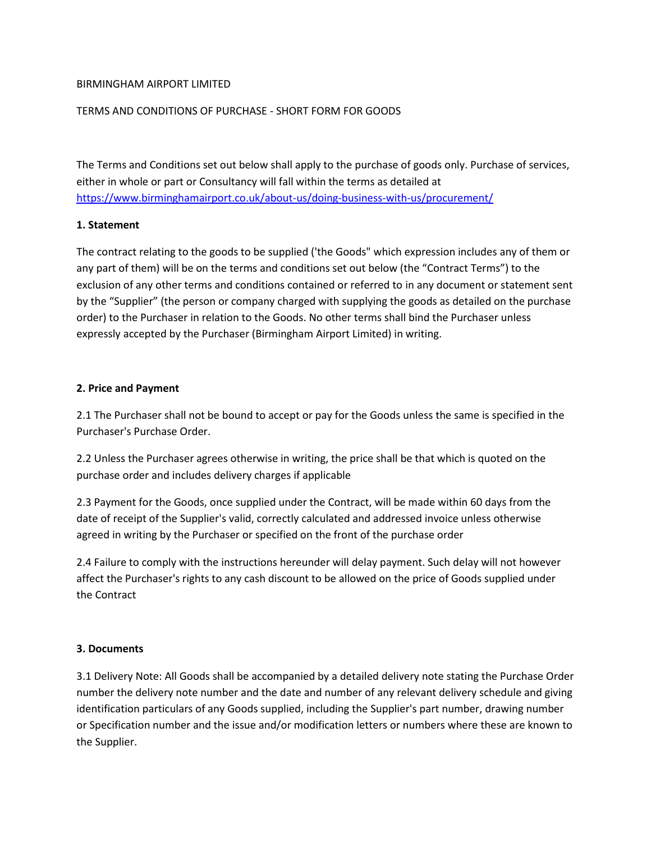### BIRMINGHAM AIRPORT LIMITED

### TERMS AND CONDITIONS OF PURCHASE - SHORT FORM FOR GOODS

The Terms and Conditions set out below shall apply to the purchase of goods only. Purchase of services, either in whole or part or Consultancy will fall within the terms as detailed at <https://www.birminghamairport.co.uk/about-us/doing-business-with-us/procurement/>

#### **1. Statement**

The contract relating to the goods to be supplied ('the Goods" which expression includes any of them or any part of them) will be on the terms and conditions set out below (the "Contract Terms") to the exclusion of any other terms and conditions contained or referred to in any document or statement sent by the "Supplier" (the person or company charged with supplying the goods as detailed on the purchase order) to the Purchaser in relation to the Goods. No other terms shall bind the Purchaser unless expressly accepted by the Purchaser (Birmingham Airport Limited) in writing.

#### **2. Price and Payment**

2.1 The Purchaser shall not be bound to accept or pay for the Goods unless the same is specified in the Purchaser's Purchase Order.

2.2 Unless the Purchaser agrees otherwise in writing, the price shall be that which is quoted on the purchase order and includes delivery charges if applicable

2.3 Payment for the Goods, once supplied under the Contract, will be made within 60 days from the date of receipt of the Supplier's valid, correctly calculated and addressed invoice unless otherwise agreed in writing by the Purchaser or specified on the front of the purchase order

2.4 Failure to comply with the instructions hereunder will delay payment. Such delay will not however affect the Purchaser's rights to any cash discount to be allowed on the price of Goods supplied under the Contract

#### **3. Documents**

3.1 Delivery Note: All Goods shall be accompanied by a detailed delivery note stating the Purchase Order number the delivery note number and the date and number of any relevant delivery schedule and giving identification particulars of any Goods supplied, including the Supplier's part number, drawing number or Specification number and the issue and/or modification letters or numbers where these are known to the Supplier.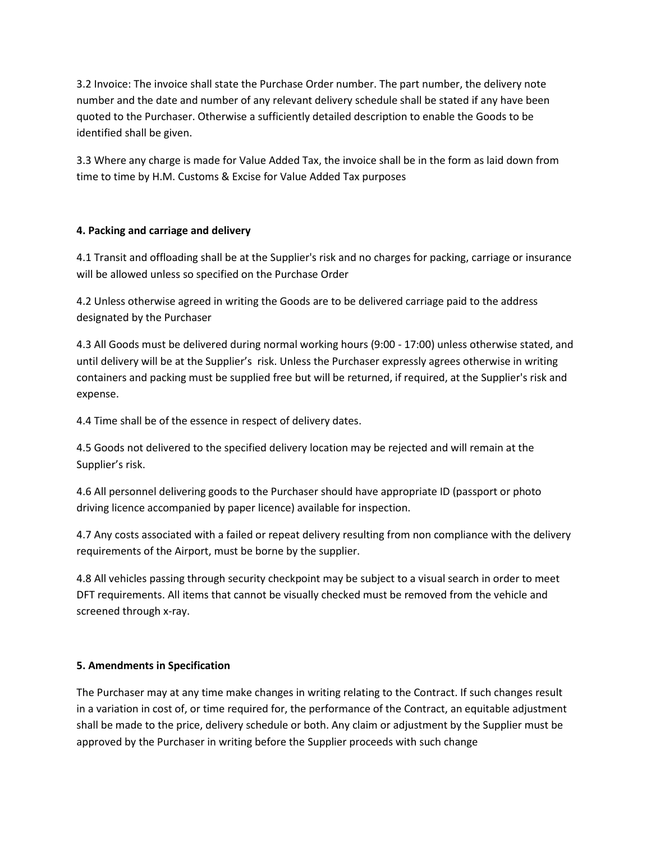3.2 Invoice: The invoice shall state the Purchase Order number. The part number, the delivery note number and the date and number of any relevant delivery schedule shall be stated if any have been quoted to the Purchaser. Otherwise a sufficiently detailed description to enable the Goods to be identified shall be given.

3.3 Where any charge is made for Value Added Tax, the invoice shall be in the form as laid down from time to time by H.M. Customs & Excise for Value Added Tax purposes

# **4. Packing and carriage and delivery**

4.1 Transit and offloading shall be at the Supplier's risk and no charges for packing, carriage or insurance will be allowed unless so specified on the Purchase Order

4.2 Unless otherwise agreed in writing the Goods are to be delivered carriage paid to the address designated by the Purchaser

4.3 All Goods must be delivered during normal working hours (9:00 - 17:00) unless otherwise stated, and until delivery will be at the Supplier's risk. Unless the Purchaser expressly agrees otherwise in writing containers and packing must be supplied free but will be returned, if required, at the Supplier's risk and expense.

4.4 Time shall be of the essence in respect of delivery dates.

4.5 Goods not delivered to the specified delivery location may be rejected and will remain at the Supplier's risk.

4.6 All personnel delivering goods to the Purchaser should have appropriate ID (passport or photo driving licence accompanied by paper licence) available for inspection.

4.7 Any costs associated with a failed or repeat delivery resulting from non compliance with the delivery requirements of the Airport, must be borne by the supplier.

4.8 All vehicles passing through security checkpoint may be subject to a visual search in order to meet DFT requirements. All items that cannot be visually checked must be removed from the vehicle and screened through x-ray.

### **5. Amendments in Specification**

The Purchaser may at any time make changes in writing relating to the Contract. If such changes result in a variation in cost of, or time required for, the performance of the Contract, an equitable adjustment shall be made to the price, delivery schedule or both. Any claim or adjustment by the Supplier must be approved by the Purchaser in writing before the Supplier proceeds with such change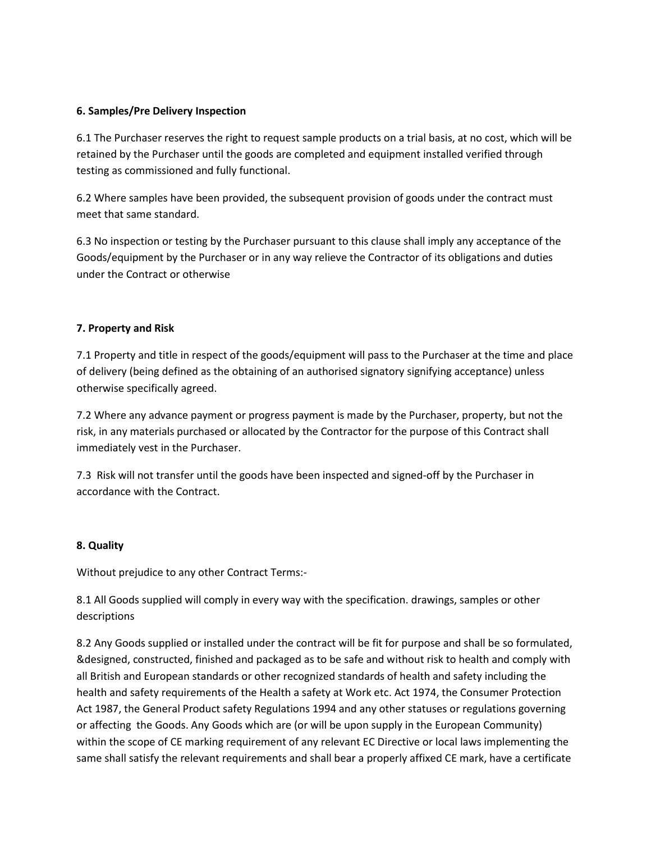## **6. Samples/Pre Delivery Inspection**

6.1 The Purchaser reserves the right to request sample products on a trial basis, at no cost, which will be retained by the Purchaser until the goods are completed and equipment installed verified through testing as commissioned and fully functional.

6.2 Where samples have been provided, the subsequent provision of goods under the contract must meet that same standard.

6.3 No inspection or testing by the Purchaser pursuant to this clause shall imply any acceptance of the Goods/equipment by the Purchaser or in any way relieve the Contractor of its obligations and duties under the Contract or otherwise

## **7. Property and Risk**

7.1 Property and title in respect of the goods/equipment will pass to the Purchaser at the time and place of delivery (being defined as the obtaining of an authorised signatory signifying acceptance) unless otherwise specifically agreed.

7.2 Where any advance payment or progress payment is made by the Purchaser, property, but not the risk, in any materials purchased or allocated by the Contractor for the purpose of this Contract shall immediately vest in the Purchaser.

7.3 Risk will not transfer until the goods have been inspected and signed-off by the Purchaser in accordance with the Contract.

### **8. Quality**

Without prejudice to any other Contract Terms:-

8.1 All Goods supplied will comply in every way with the specification. drawings, samples or other descriptions

8.2 Any Goods supplied or installed under the contract will be fit for purpose and shall be so formulated, &designed, constructed, finished and packaged as to be safe and without risk to health and comply with all British and European standards or other recognized standards of health and safety including the health and safety requirements of the Health a safety at Work etc. Act 1974, the Consumer Protection Act 1987, the General Product safety Regulations 1994 and any other statuses or regulations governing or affecting the Goods. Any Goods which are (or will be upon supply in the European Community) within the scope of CE marking requirement of any relevant EC Directive or local laws implementing the same shall satisfy the relevant requirements and shall bear a properly affixed CE mark, have a certificate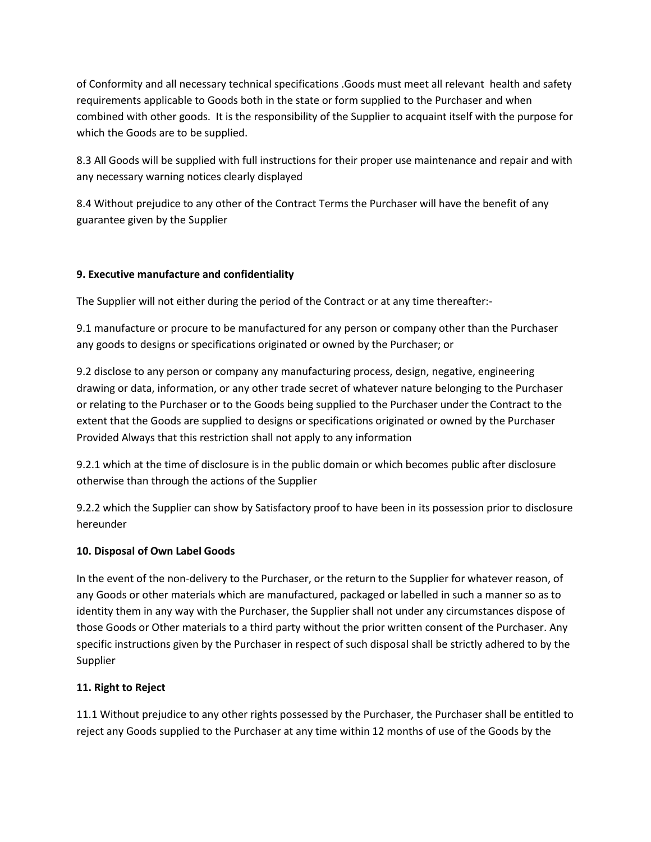of Conformity and all necessary technical specifications .Goods must meet all relevant health and safety requirements applicable to Goods both in the state or form supplied to the Purchaser and when combined with other goods. It is the responsibility of the Supplier to acquaint itself with the purpose for which the Goods are to be supplied.

8.3 All Goods will be supplied with full instructions for their proper use maintenance and repair and with any necessary warning notices clearly displayed

8.4 Without prejudice to any other of the Contract Terms the Purchaser will have the benefit of any guarantee given by the Supplier

# **9. Executive manufacture and confidentiality**

The Supplier will not either during the period of the Contract or at any time thereafter:-

9.1 manufacture or procure to be manufactured for any person or company other than the Purchaser any goods to designs or specifications originated or owned by the Purchaser; or

9.2 disclose to any person or company any manufacturing process, design, negative, engineering drawing or data, information, or any other trade secret of whatever nature belonging to the Purchaser or relating to the Purchaser or to the Goods being supplied to the Purchaser under the Contract to the extent that the Goods are supplied to designs or specifications originated or owned by the Purchaser Provided Always that this restriction shall not apply to any information

9.2.1 which at the time of disclosure is in the public domain or which becomes public after disclosure otherwise than through the actions of the Supplier

9.2.2 which the Supplier can show by Satisfactory proof to have been in its possession prior to disclosure hereunder

# **10. Disposal of Own Label Goods**

In the event of the non-delivery to the Purchaser, or the return to the Supplier for whatever reason, of any Goods or other materials which are manufactured, packaged or labelled in such a manner so as to identity them in any way with the Purchaser, the Supplier shall not under any circumstances dispose of those Goods or Other materials to a third party without the prior written consent of the Purchaser. Any specific instructions given by the Purchaser in respect of such disposal shall be strictly adhered to by the Supplier

# **11. Right to Reject**

11.1 Without prejudice to any other rights possessed by the Purchaser, the Purchaser shall be entitled to reject any Goods supplied to the Purchaser at any time within 12 months of use of the Goods by the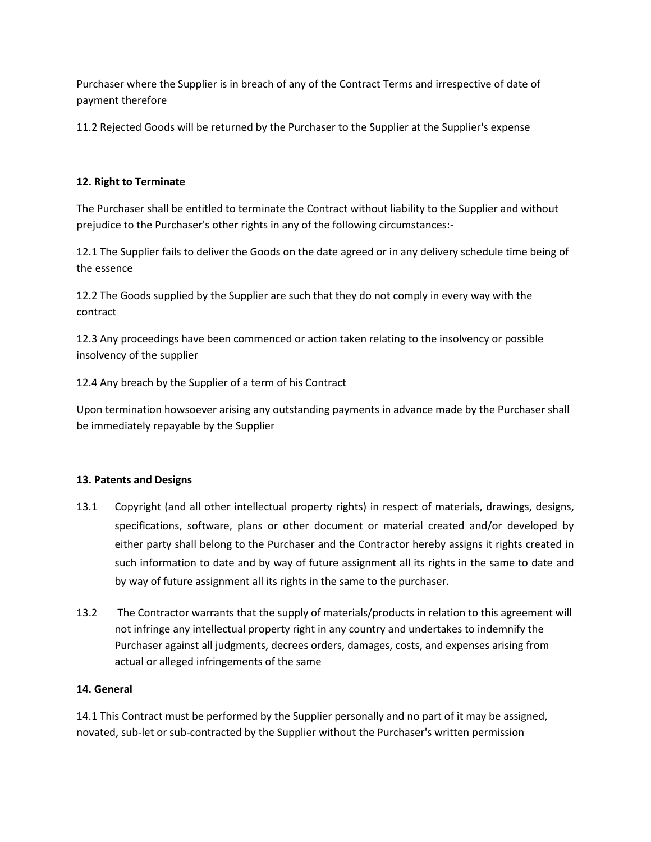Purchaser where the Supplier is in breach of any of the Contract Terms and irrespective of date of payment therefore

11.2 Rejected Goods will be returned by the Purchaser to the Supplier at the Supplier's expense

## **12. Right to Terminate**

The Purchaser shall be entitled to terminate the Contract without liability to the Supplier and without prejudice to the Purchaser's other rights in any of the following circumstances:-

12.1 The Supplier fails to deliver the Goods on the date agreed or in any delivery schedule time being of the essence

12.2 The Goods supplied by the Supplier are such that they do not comply in every way with the contract

12.3 Any proceedings have been commenced or action taken relating to the insolvency or possible insolvency of the supplier

12.4 Any breach by the Supplier of a term of his Contract

Upon termination howsoever arising any outstanding payments in advance made by the Purchaser shall be immediately repayable by the Supplier

### **13. Patents and Designs**

- 13.1 Copyright (and all other intellectual property rights) in respect of materials, drawings, designs, specifications, software, plans or other document or material created and/or developed by either party shall belong to the Purchaser and the Contractor hereby assigns it rights created in such information to date and by way of future assignment all its rights in the same to date and by way of future assignment all its rights in the same to the purchaser.
- 13.2 The Contractor warrants that the supply of materials/products in relation to this agreement will not infringe any intellectual property right in any country and undertakes to indemnify the Purchaser against all judgments, decrees orders, damages, costs, and expenses arising from actual or alleged infringements of the same

### **14. General**

14.1 This Contract must be performed by the Supplier personally and no part of it may be assigned, novated, sub-let or sub-contracted by the Supplier without the Purchaser's written permission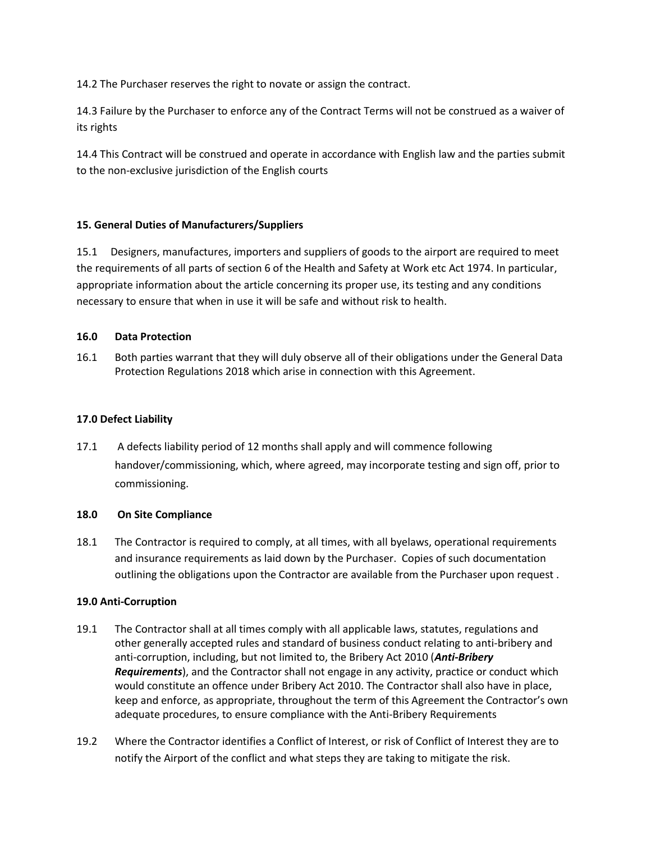14.2 The Purchaser reserves the right to novate or assign the contract.

14.3 Failure by the Purchaser to enforce any of the Contract Terms will not be construed as a waiver of its rights

14.4 This Contract will be construed and operate in accordance with English law and the parties submit to the non-exclusive jurisdiction of the English courts

# **15. General Duties of Manufacturers/Suppliers**

15.1 Designers, manufactures, importers and suppliers of goods to the airport are required to meet the requirements of all parts of section 6 of the Health and Safety at Work etc Act 1974. In particular, appropriate information about the article concerning its proper use, its testing and any conditions necessary to ensure that when in use it will be safe and without risk to health.

### **16.0 Data Protection**

16.1 Both parties warrant that they will duly observe all of their obligations under the General Data Protection Regulations 2018 which arise in connection with this Agreement.

## **17.0 Defect Liability**

17.1 A defects liability period of 12 months shall apply and will commence following handover/commissioning, which, where agreed, may incorporate testing and sign off, prior to commissioning.

## **18.0 On Site Compliance**

18.1 The Contractor is required to comply, at all times, with all byelaws, operational requirements and insurance requirements as laid down by the Purchaser. Copies of such documentation outlining the obligations upon the Contractor are available from the Purchaser upon request .

### **19.0 Anti-Corruption**

- 19.1 The Contractor shall at all times comply with all applicable laws, statutes, regulations and other generally accepted rules and standard of business conduct relating to anti-bribery and anti-corruption, including, but not limited to, the Bribery Act 2010 (*Anti-Bribery Requirements*), and the Contractor shall not engage in any activity, practice or conduct which would constitute an offence under Bribery Act 2010. The Contractor shall also have in place, keep and enforce, as appropriate, throughout the term of this Agreement the Contractor's own adequate procedures, to ensure compliance with the Anti-Bribery Requirements
- 19.2 Where the Contractor identifies a Conflict of Interest, or risk of Conflict of Interest they are to notify the Airport of the conflict and what steps they are taking to mitigate the risk.